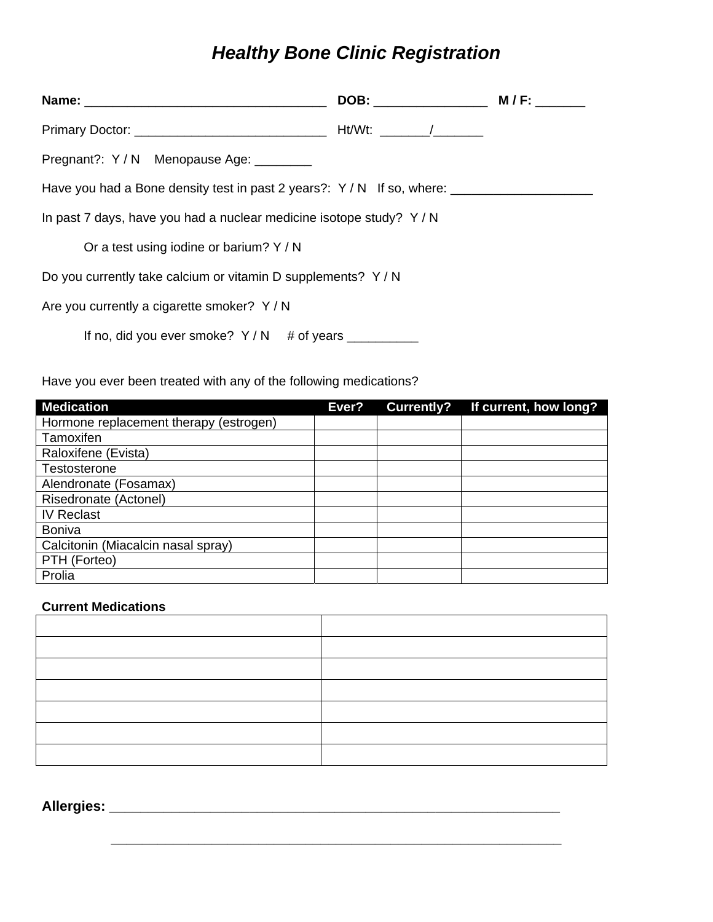## *Healthy Bone Clinic Registration*

| Pregnant?: Y/N Menopause Age: ________                                 |  |  |  |  |
|------------------------------------------------------------------------|--|--|--|--|
| Have you had a Bone density test in past 2 years?: $Y/N$ If so, where: |  |  |  |  |
| In past 7 days, have you had a nuclear medicine isotope study? Y/N     |  |  |  |  |
| Or a test using iodine or barium? Y / N                                |  |  |  |  |
| Do you currently take calcium or vitamin D supplements? Y/N            |  |  |  |  |
| Are you currently a cigarette smoker? Y/N                              |  |  |  |  |
| If no, did you ever smoke? $Y/N$ # of years $\frac{1}{1}$              |  |  |  |  |

Have you ever been treated with any of the following medications?

| <b>Medication</b>                      | Ever? | <b>Currently?</b> | If current, how long? |
|----------------------------------------|-------|-------------------|-----------------------|
| Hormone replacement therapy (estrogen) |       |                   |                       |
| Tamoxifen                              |       |                   |                       |
| Raloxifene (Evista)                    |       |                   |                       |
| Testosterone                           |       |                   |                       |
| Alendronate (Fosamax)                  |       |                   |                       |
| Risedronate (Actonel)                  |       |                   |                       |
| <b>IV Reclast</b>                      |       |                   |                       |
| <b>Boniva</b>                          |       |                   |                       |
| Calcitonin (Miacalcin nasal spray)     |       |                   |                       |
| PTH (Forteo)                           |       |                   |                       |
| Prolia                                 |       |                   |                       |

## **Current Medications**

 **\_\_\_\_\_\_\_\_\_\_\_\_\_\_\_\_\_\_\_\_\_\_\_\_\_\_\_\_\_\_\_\_\_\_\_\_\_\_\_\_\_\_\_\_\_\_\_\_\_\_\_\_\_\_\_\_\_\_** 

**Allergies: \_\_\_\_\_\_\_\_\_\_\_\_\_\_\_\_\_\_\_\_\_\_\_\_\_\_\_\_\_\_\_\_\_\_\_\_\_\_\_\_\_\_\_\_\_\_\_\_\_\_\_\_\_\_\_\_\_\_**